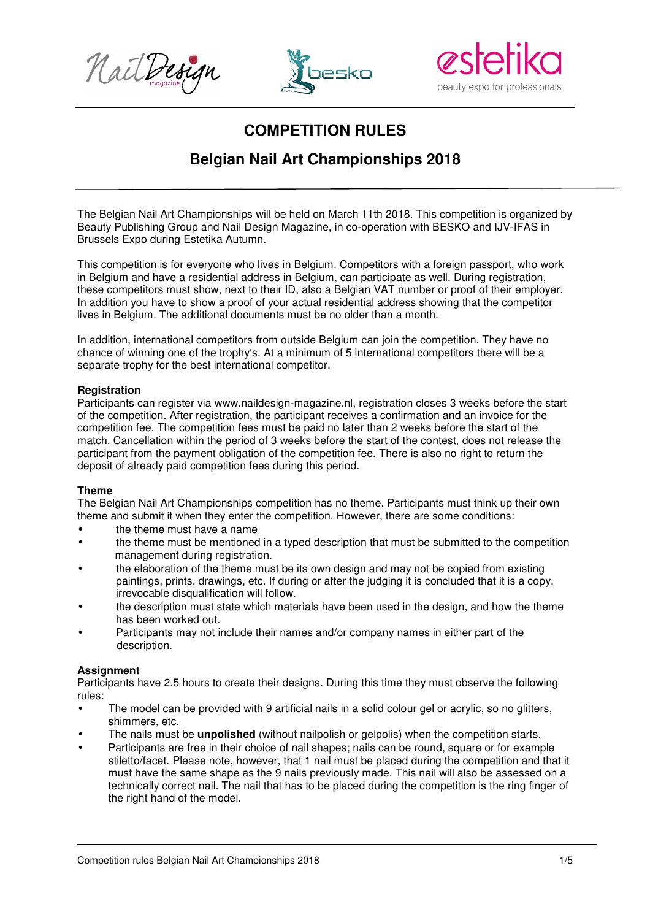





# **COMPETITION RULES**

## **Belgian Nail Art Championships 2018**

The Belgian Nail Art Championships will be held on March 11th 2018. This competition is organized by Beauty Publishing Group and Nail Design Magazine, in co-operation with BESKO and IJV-IFAS in Brussels Expo during Estetika Autumn.

This competition is for everyone who lives in Belgium. Competitors with a foreign passport, who work in Belgium and have a residential address in Belgium, can participate as well. During registration, these competitors must show, next to their ID, also a Belgian VAT number or proof of their employer. In addition you have to show a proof of your actual residential address showing that the competitor lives in Belgium. The additional documents must be no older than a month.

In addition, international competitors from outside Belgium can join the competition. They have no chance of winning one of the trophy's. At a minimum of 5 international competitors there will be a separate trophy for the best international competitor.

## **Registration**

Participants can register via www.naildesign-magazine.nl, registration closes 3 weeks before the start of the competition. After registration, the participant receives a confirmation and an invoice for the competition fee. The competition fees must be paid no later than 2 weeks before the start of the match. Cancellation within the period of 3 weeks before the start of the contest, does not release the participant from the payment obligation of the competition fee. There is also no right to return the deposit of already paid competition fees during this period.

## **Theme**

The Belgian Nail Art Championships competition has no theme. Participants must think up their own theme and submit it when they enter the competition. However, there are some conditions:

- the theme must have a name
- the theme must be mentioned in a typed description that must be submitted to the competition management during registration.
- the elaboration of the theme must be its own design and may not be copied from existing paintings, prints, drawings, etc. If during or after the judging it is concluded that it is a copy, irrevocable disqualification will follow.
- the description must state which materials have been used in the design, and how the theme has been worked out.
- Participants may not include their names and/or company names in either part of the description.

## **Assignment**

Participants have 2.5 hours to create their designs. During this time they must observe the following rules:

- The model can be provided with 9 artificial nails in a solid colour gel or acrylic, so no glitters, shimmers, etc.
- The nails must be **unpolished** (without nailpolish or gelpolis) when the competition starts.
- Participants are free in their choice of nail shapes; nails can be round, square or for example stiletto/facet. Please note, however, that 1 nail must be placed during the competition and that it must have the same shape as the 9 nails previously made. This nail will also be assessed on a technically correct nail. The nail that has to be placed during the competition is the ring finger of the right hand of the model.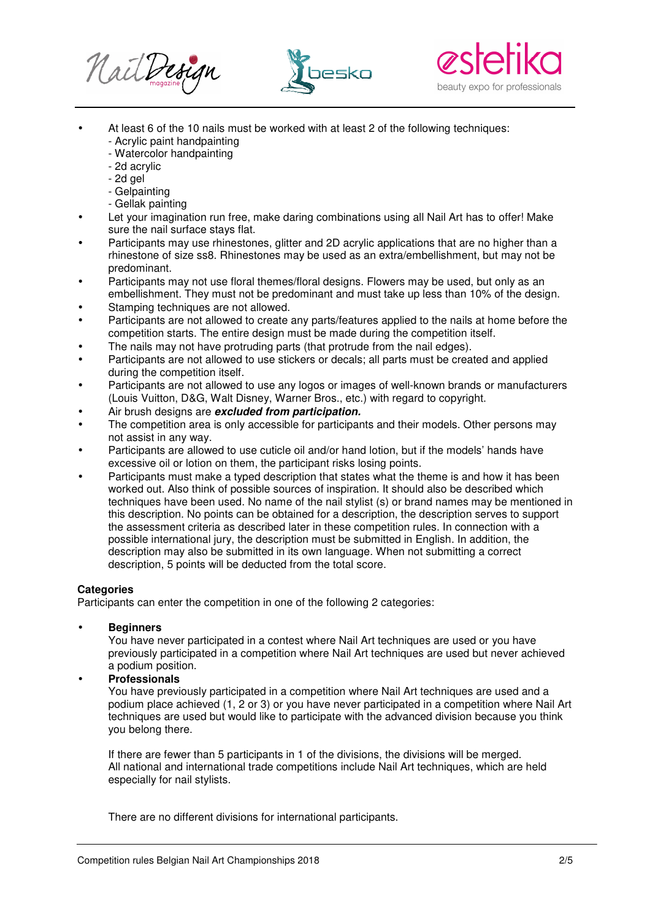





- At least 6 of the 10 nails must be worked with at least 2 of the following techniques:
	- Acrylic paint handpainting
	- Watercolor handpainting
	- 2d acrylic
	- 2d gel
	- Gelpainting
	- Gellak painting
- Let your imagination run free, make daring combinations using all Nail Art has to offer! Make sure the nail surface stays flat.
- Participants may use rhinestones, glitter and 2D acrylic applications that are no higher than a rhinestone of size ss8. Rhinestones may be used as an extra/embellishment, but may not be predominant.
- Participants may not use floral themes/floral designs. Flowers may be used, but only as an embellishment. They must not be predominant and must take up less than 10% of the design.
- Stamping techniques are not allowed.
- Participants are not allowed to create any parts/features applied to the nails at home before the competition starts. The entire design must be made during the competition itself.
- The nails may not have protruding parts (that protrude from the nail edges).
- Participants are not allowed to use stickers or decals; all parts must be created and applied during the competition itself.
- Participants are not allowed to use any logos or images of well-known brands or manufacturers (Louis Vuitton, D&G, Walt Disney, Warner Bros., etc.) with regard to copyright.
- Air brush designs are **excluded from participation.**
- The competition area is only accessible for participants and their models. Other persons may not assist in any way.
- Participants are allowed to use cuticle oil and/or hand lotion, but if the models' hands have excessive oil or lotion on them, the participant risks losing points.
- Participants must make a typed description that states what the theme is and how it has been worked out. Also think of possible sources of inspiration. It should also be described which techniques have been used. No name of the nail stylist (s) or brand names may be mentioned in this description. No points can be obtained for a description, the description serves to support the assessment criteria as described later in these competition rules. In connection with a possible international jury, the description must be submitted in English. In addition, the description may also be submitted in its own language. When not submitting a correct description, 5 points will be deducted from the total score.

## **Categories**

Participants can enter the competition in one of the following 2 categories:

• **Beginners**

You have never participated in a contest where Nail Art techniques are used or you have previously participated in a competition where Nail Art techniques are used but never achieved a podium position.

## • **Professionals**

You have previously participated in a competition where Nail Art techniques are used and a podium place achieved (1, 2 or 3) or you have never participated in a competition where Nail Art techniques are used but would like to participate with the advanced division because you think you belong there.

If there are fewer than 5 participants in 1 of the divisions, the divisions will be merged. All national and international trade competitions include Nail Art techniques, which are held especially for nail stylists.

There are no different divisions for international participants.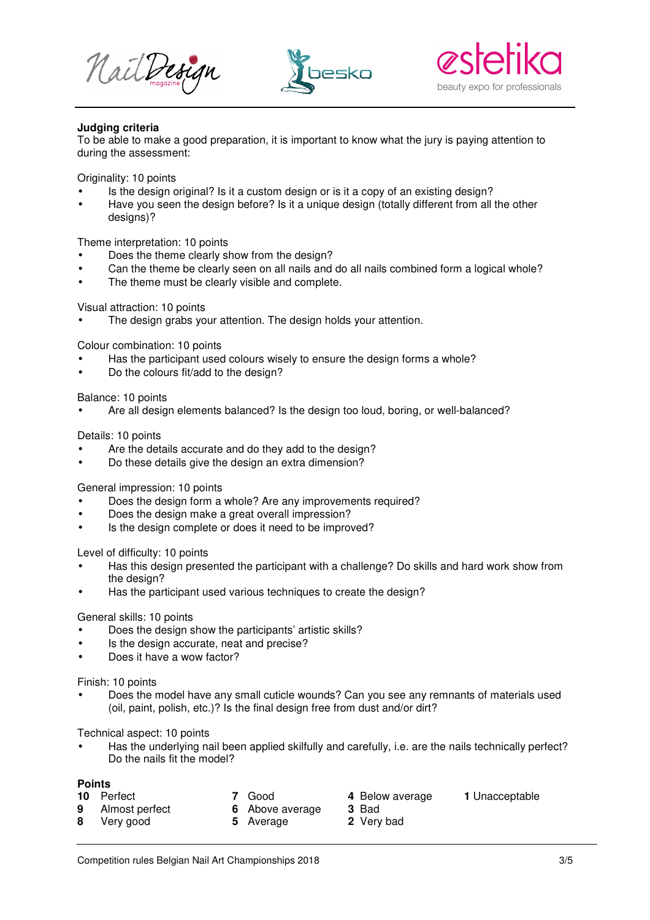





## **Judging criteria**

To be able to make a good preparation, it is important to know what the jury is paying attention to during the assessment:

Originality: 10 points

- Is the design original? Is it a custom design or is it a copy of an existing design?
- Have you seen the design before? Is it a unique design (totally different from all the other designs)?

Theme interpretation: 10 points

- Does the theme clearly show from the design?
- Can the theme be clearly seen on all nails and do all nails combined form a logical whole?
- The theme must be clearly visible and complete.

Visual attraction: 10 points

The design grabs your attention. The design holds your attention.

Colour combination: 10 points

- Has the participant used colours wisely to ensure the design forms a whole?
- Do the colours fit/add to the design?

Balance: 10 points

• Are all design elements balanced? Is the design too loud, boring, or well-balanced?

Details: 10 points

- Are the details accurate and do they add to the design?
- Do these details give the design an extra dimension?

General impression: 10 points

- Does the design form a whole? Are any improvements required?
- Does the design make a great overall impression?
- Is the design complete or does it need to be improved?

Level of difficulty: 10 points

- Has this design presented the participant with a challenge? Do skills and hard work show from the design?
- Has the participant used various techniques to create the design?

#### General skills: 10 points

- Does the design show the participants' artistic skills?
- Is the design accurate, neat and precise?
- Does it have a wow factor?

#### Finish: 10 points

• Does the model have any small cuticle wounds? Can you see any remnants of materials used (oil, paint, polish, etc.)? Is the final design free from dust and/or dirt?

Technical aspect: 10 points

• Has the underlying nail been applied skilfully and carefully, i.e. are the nails technically perfect? Do the nails fit the model?

#### **Points**

- 
- **10** Perfect **7** Good **4** Below average **1** Unacceptable
	-
- 
- 
- **9** Almost perfect **6** Above average **3** Bad<br>**8** Verv good **5** Average **2** Verv bad
	- **8** Very good **5** Average
-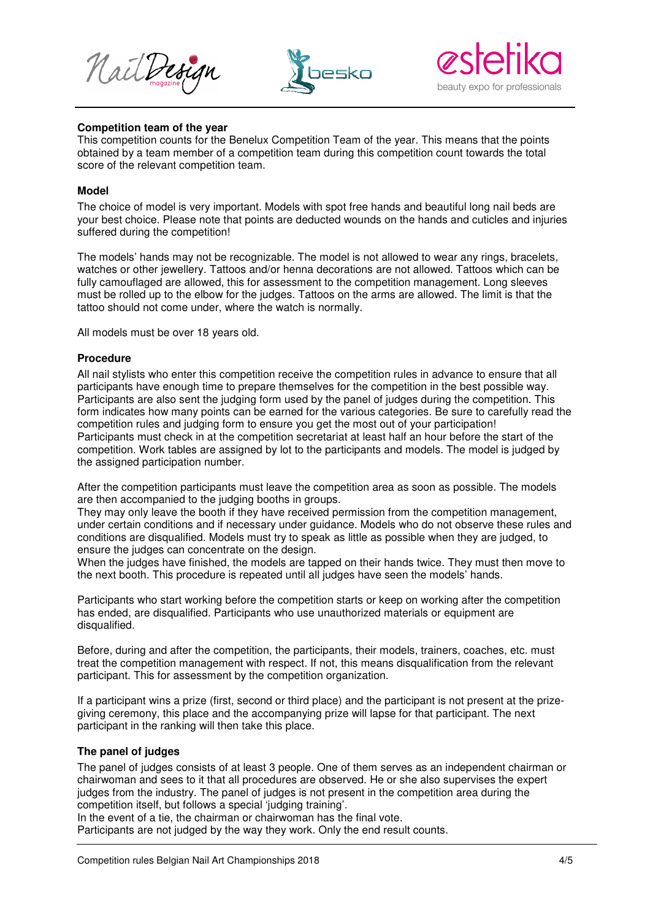





#### **Competition team of the year**

This competition counts for the Benelux Competition Team of the year. This means that the points obtained by a team member of a competition team during this competition count towards the total score of the relevant competition team.

## **Model**

The choice of model is very important. Models with spot free hands and beautiful long nail beds are your best choice. Please note that points are deducted wounds on the hands and cuticles and injuries suffered during the competition!

The models' hands may not be recognizable. The model is not allowed to wear any rings, bracelets, watches or other jewellery. Tattoos and/or henna decorations are not allowed. Tattoos which can be fully camouflaged are allowed, this for assessment to the competition management. Long sleeves must be rolled up to the elbow for the judges. Tattoos on the arms are allowed. The limit is that the tattoo should not come under, where the watch is normally.

All models must be over 18 years old.

#### **Procedure**

All nail stylists who enter this competition receive the competition rules in advance to ensure that all participants have enough time to prepare themselves for the competition in the best possible way. Participants are also sent the judging form used by the panel of judges during the competition. This form indicates how many points can be earned for the various categories. Be sure to carefully read the competition rules and judging form to ensure you get the most out of your participation! Participants must check in at the competition secretariat at least half an hour before the start of the competition. Work tables are assigned by lot to the participants and models. The model is judged by the assigned participation number.

After the competition participants must leave the competition area as soon as possible. The models are then accompanied to the judging booths in groups.

They may only leave the booth if they have received permission from the competition management, under certain conditions and if necessary under guidance. Models who do not observe these rules and conditions are disqualified. Models must try to speak as little as possible when they are judged, to ensure the judges can concentrate on the design.

When the judges have finished, the models are tapped on their hands twice. They must then move to the next booth. This procedure is repeated until all judges have seen the models' hands.

Participants who start working before the competition starts or keep on working after the competition has ended, are disqualified. Participants who use unauthorized materials or equipment are disqualified.

Before, during and after the competition, the participants, their models, trainers, coaches, etc. must treat the competition management with respect. If not, this means disqualification from the relevant participant. This for assessment by the competition organization.

If a participant wins a prize (first, second or third place) and the participant is not present at the prizegiving ceremony, this place and the accompanying prize will lapse for that participant. The next participant in the ranking will then take this place.

#### **The panel of judges**

The panel of judges consists of at least 3 people. One of them serves as an independent chairman or chairwoman and sees to it that all procedures are observed. He or she also supervises the expert judges from the industry. The panel of judges is not present in the competition area during the competition itself, but follows a special 'judging training'.

In the event of a tie, the chairman or chairwoman has the final vote.

Participants are not judged by the way they work. Only the end result counts.